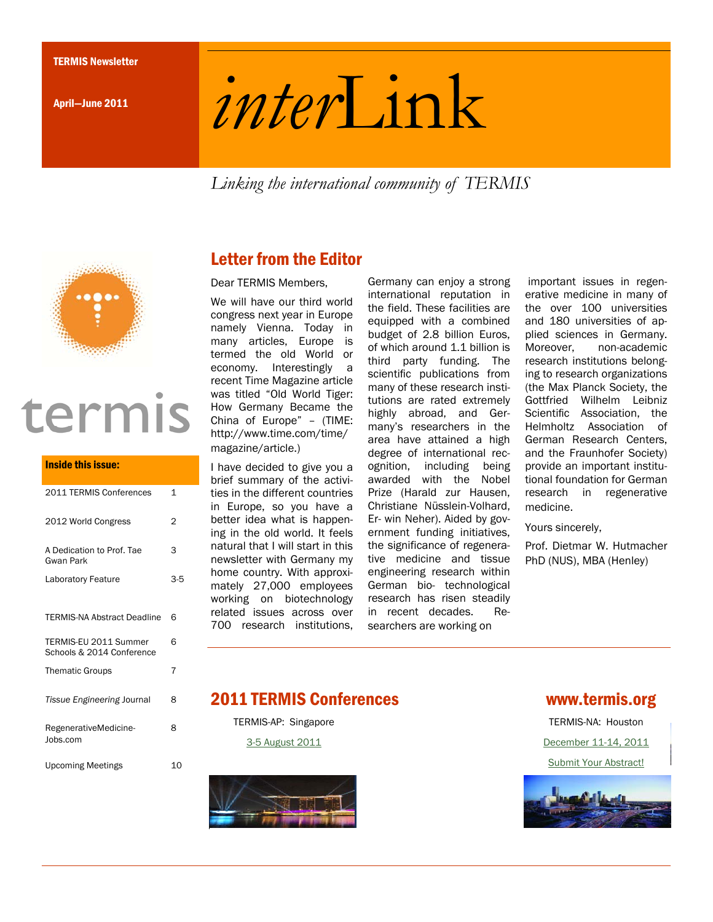April—June 2011

# *inter*Link

*Linking the international community of TERMIS* 



# termis

# Inside this issue: 2011 TERMIS Conferences 1 2012 World Congress 2 A Dedication to Prof. Tae Gwan Park 3 Laboratory Feature 3-5 TERMIS-NA Abstract Deadline 6 TERMIS-EU 2011 Summer Schools & 2014 Conference 6 Thematic Groups 7 *Tissue Engineering* Journal 8 RegenerativeMedicine-Jobs.com 8 Upcoming Meetings 10

# Letter from the Editor

Dear TERMIS Members,

We will have our third world congress next year in Europe namely Vienna. Today in many articles, Europe is termed the old World or economy. Interestingly a recent Time Magazine article was titled "Old World Tiger: How Germany Became the China of Europe" – (TIME: http://www.time.com/time/ magazine/article.)

I have decided to give you a brief summary of the activities in the different countries in Europe, so you have a better idea what is happening in the old world. It feels natural that I will start in this newsletter with Germany my home country. With approximately 27,000 employees working on biotechnology related issues across over 700 research institutions,

Germany can enjoy a strong international reputation in the field. These facilities are equipped with a combined budget of 2.8 billion Euros, of which around 1.1 billion is third party funding. The scientific publications from many of these research institutions are rated extremely highly abroad, and Germany's researchers in the area have attained a high degree of international recognition, including being awarded with the Nobel Prize (Harald zur Hausen, Christiane Nüsslein-Volhard, Er- win Neher). Aided by government funding initiatives, the significance of regenerative medicine and tissue engineering research within German bio- technological research has risen steadily in recent decades. Researchers are working on

 important issues in regenerative medicine in many of the over 100 universities and 180 universities of applied sciences in Germany. Moreover, non-academic research institutions belonging to research organizations (the Max Planck Society, the Gottfried Wilhelm Leibniz Scientific Association, the Helmholtz Association of German Research Centers, and the Fraunhofer Society) provide an important institutional foundation for German research in regenerative medicine.

Yours sincerely,

Prof. Dietmar W. Hutmacher PhD (NUS), MBA (Henley)

# 2011 TERMIS Conferences www.termis.org

TERMIS-AP: Singapore 3-5 August 2011



TERMIS-NA: Houston December 11-14, 2011 Submit Your Abstract!

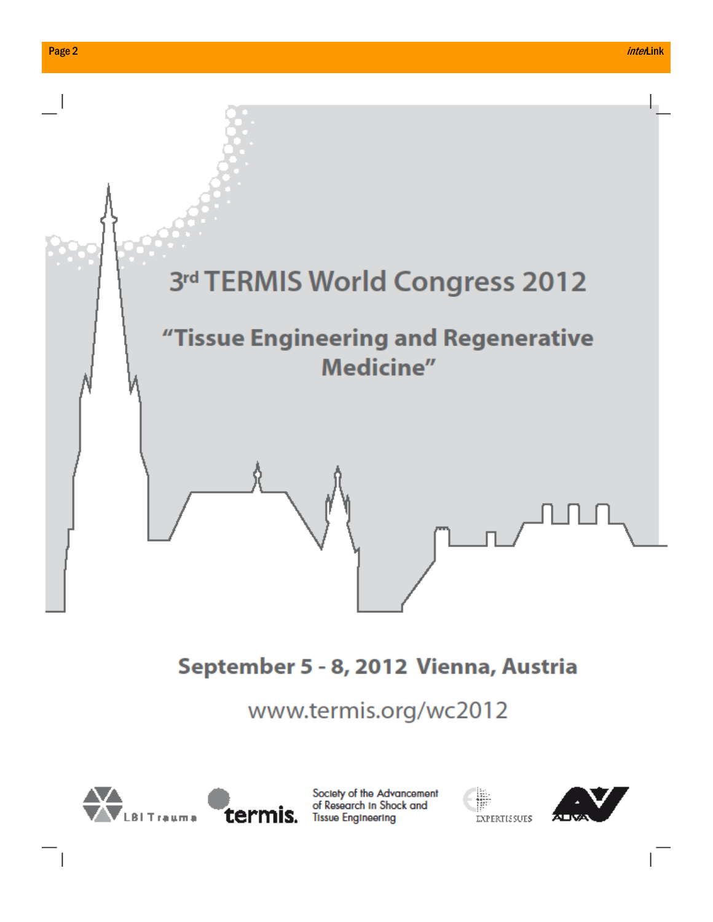

from which you can choose and s.org/wc*2*01 There are also several tools you Selections of  $\mathbf{S}$ *DE VE VE VELLET* 



 $\top_1$ 

Society of the Advancement **the image of Research in Shock and** 



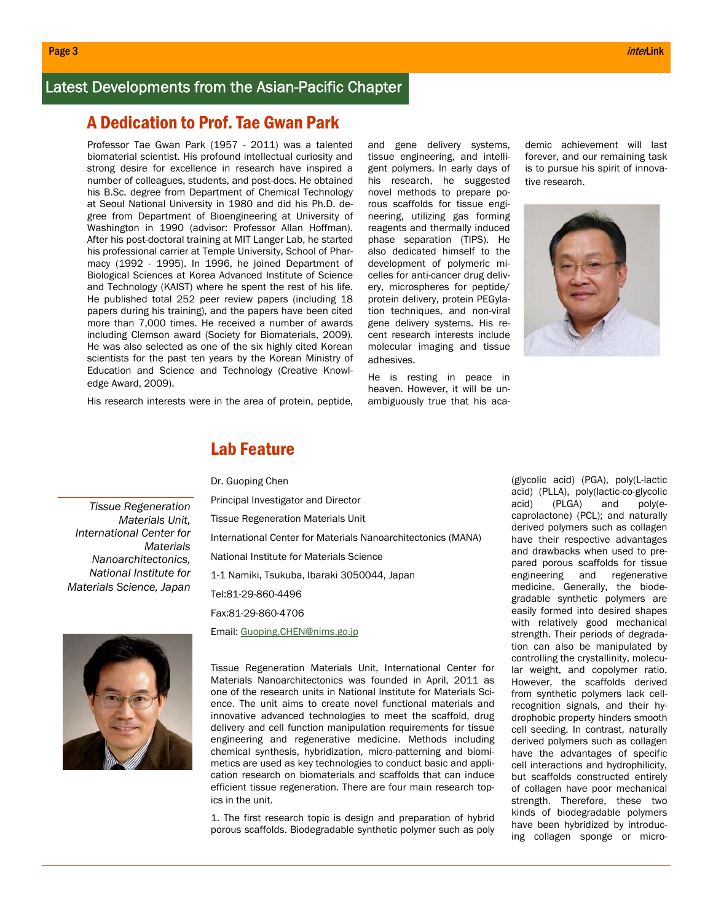# Latest Developments from the Asian-Pacific Chapter

# A Dedication to Prof. Tae Gwan Park

Professor Tae Gwan Park (1957 - 2011) was a talented biomaterial scientist. His profound intellectual curiosity and strong desire for excellence in research have inspired a number of colleagues, students, and post-docs. He obtained his B.Sc. degree from Department of Chemical Technology at Seoul National University in 1980 and did his Ph.D. degree from Department of Bioengineering at University of Washington in 1990 (advisor: Professor Allan Hoffman). After his post-doctoral training at MIT Langer Lab, he started his professional carrier at Temple University, School of Pharmacy (1992 - 1995). In 1996, he joined Department of Biological Sciences at Korea Advanced Institute of Science and Technology (KAIST) where he spent the rest of his life. He published total 252 peer review papers (including 18 papers during his training), and the papers have been cited more than 7,000 times. He received a number of awards including Clemson award (Society for Biomaterials, 2009). He was also selected as one of the six highly cited Korean scientists for the past ten years by the Korean Ministry of Education and Science and Technology (Creative Knowledge Award, 2009).

His research interests were in the area of protein, peptide,

and gene delivery systems, tissue engineering, and intelligent polymers. In early days of his research, he suggested novel methods to prepare porous scaffolds for tissue engineering, utilizing gas forming reagents and thermally induced phase separation (TIPS). He also dedicated himself to the development of polymeric micelles for anti-cancer drug delivery, microspheres for peptide/ protein delivery, protein PEGylation techniques, and non-viral gene delivery systems. His recent research interests include molecular imaging and tissue adhesives.

He is resting in peace in heaven. However, it will be unambiguously true that his academic achievement will last forever, and our remaining task is to pursue his spirit of innovative research.



# Lab Feature

Dr. Guoping Chen

*Tissue Regeneration Materials Unit, International Center for Materials Nanoarchitectonics, National Institute for Materials Science, Japan* 

Principal Investigator and Director Tissue Regeneration Materials Unit International Center for Materials Nanoarchitectonics (MANA) National Institute for Materials Science 1-1 Namiki, Tsukuba, Ibaraki 3050044, Japan Tel:81-29-860-4496 Fax:81-29-860-4706 Email: Guoping.CHEN@nims.go.jp



Tissue Regeneration Materials Unit, International Center for Materials Nanoarchitectonics was founded in April, 2011 as one of the research units in National Institute for Materials Science. The unit aims to create novel functional materials and innovative advanced technologies to meet the scaffold, drug delivery and cell function manipulation requirements for tissue engineering and regenerative medicine. Methods including chemical synthesis, hybridization, micro-patterning and biomimetics are used as key technologies to conduct basic and application research on biomaterials and scaffolds that can induce efficient tissue regeneration. There are four main research topics in the unit.

1. The first research topic is design and preparation of hybrid porous scaffolds. Biodegradable synthetic polymer such as poly (glycolic acid) (PGA), poly(L-lactic acid) (PLLA), poly(lactic-co-glycolic acid) (PLGA) and poly(*e*caprolactone) (PCL); and naturally derived polymers such as collagen have their respective advantages and drawbacks when used to prepared porous scaffolds for tissue engineering and regenerative medicine. Generally, the biodegradable synthetic polymers are easily formed into desired shapes with relatively good mechanical strength. Their periods of degradation can also be manipulated by controlling the crystallinity, molecular weight, and copolymer ratio. However, the scaffolds derived from synthetic polymers lack cellrecognition signals, and their hydrophobic property hinders smooth cell seeding. In contrast, naturally derived polymers such as collagen have the advantages of specific cell interactions and hydrophilicity, but scaffolds constructed entirely of collagen have poor mechanical strength. Therefore, these two kinds of biodegradable polymers have been hybridized by introducing collagen sponge or micro-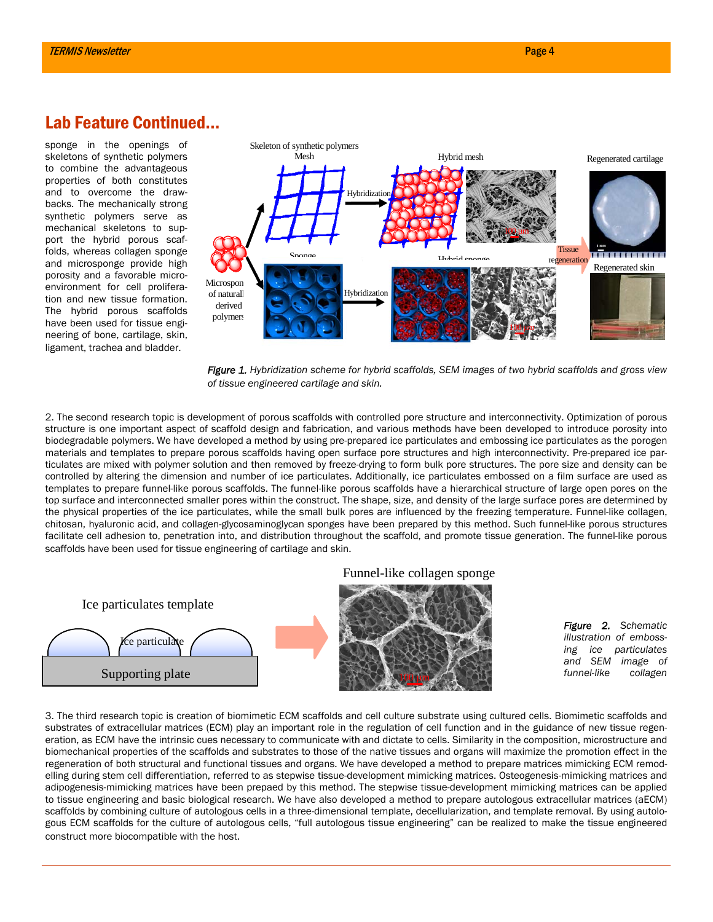# Lab Feature Continued...

sponge in the openings of skeletons of synthetic polymers to combine the advantageous properties of both constitutes and to overcome the drawbacks. The mechanically strong synthetic polymers serve as mechanical skeletons to support the hybrid porous scaffolds, whereas collagen sponge and microsponge provide high porosity and a favorable microenvironment for cell proliferation and new tissue formation. The hybrid porous scaffolds have been used for tissue engineering of bone, cartilage, skin, ligament, trachea and bladder.



*Figure 1. Hybridization scheme for hybrid scaffolds, SEM images of two hybrid scaffolds and gross view of tissue engineered cartilage and skin.* 

2. The second research topic is development of porous scaffolds with controlled pore structure and interconnectivity. Optimization of porous structure is one important aspect of scaffold design and fabrication, and various methods have been developed to introduce porosity into biodegradable polymers. We have developed a method by using pre-prepared ice particulates and embossing ice particulates as the porogen materials and templates to prepare porous scaffolds having open surface pore structures and high interconnectivity. Pre-prepared ice particulates are mixed with polymer solution and then removed by freeze-drying to form bulk pore structures. The pore size and density can be controlled by altering the dimension and number of ice particulates. Additionally, ice particulates embossed on a film surface are used as templates to prepare funnel-like porous scaffolds. The funnel-like porous scaffolds have a hierarchical structure of large open pores on the top surface and interconnected smaller pores within the construct. The shape, size, and density of the large surface pores are determined by the physical properties of the ice particulates, while the small bulk pores are influenced by the freezing temperature. Funnel-like collagen, chitosan, hyaluronic acid, and collagen-glycosaminoglycan sponges have been prepared by this method. Such funnel-like porous structures facilitate cell adhesion to, penetration into, and distribution throughout the scaffold, and promote tissue generation. The funnel-like porous scaffolds have been used for tissue engineering of cartilage and skin.



3. The third research topic is creation of biomimetic ECM scaffolds and cell culture substrate using cultured cells. Biomimetic scaffolds and substrates of extracellular matrices (ECM) play an important role in the regulation of cell function and in the guidance of new tissue regeneration, as ECM have the intrinsic cues necessary to communicate with and dictate to cells. Similarity in the composition, microstructure and biomechanical properties of the scaffolds and substrates to those of the native tissues and organs will maximize the promotion effect in the regeneration of both structural and functional tissues and organs. We have developed a method to prepare matrices mimicking ECM remodelling during stem cell differentiation, referred to as stepwise tissue-development mimicking matrices. Osteogenesis-mimicking matrices and adipogenesis-mimicking matrices have been prepaed by this method. The stepwise tissue-development mimicking matrices can be applied to tissue engineering and basic biological research. We have also developed a method to prepare autologous extracellular matrices (aECM) scaffolds by combining culture of autologous cells in a three-dimensional template, decellularization, and template removal. By using autologous ECM scaffolds for the culture of autologous cells, "full autologous tissue engineering" can be realized to make the tissue engineered construct more biocompatible with the host.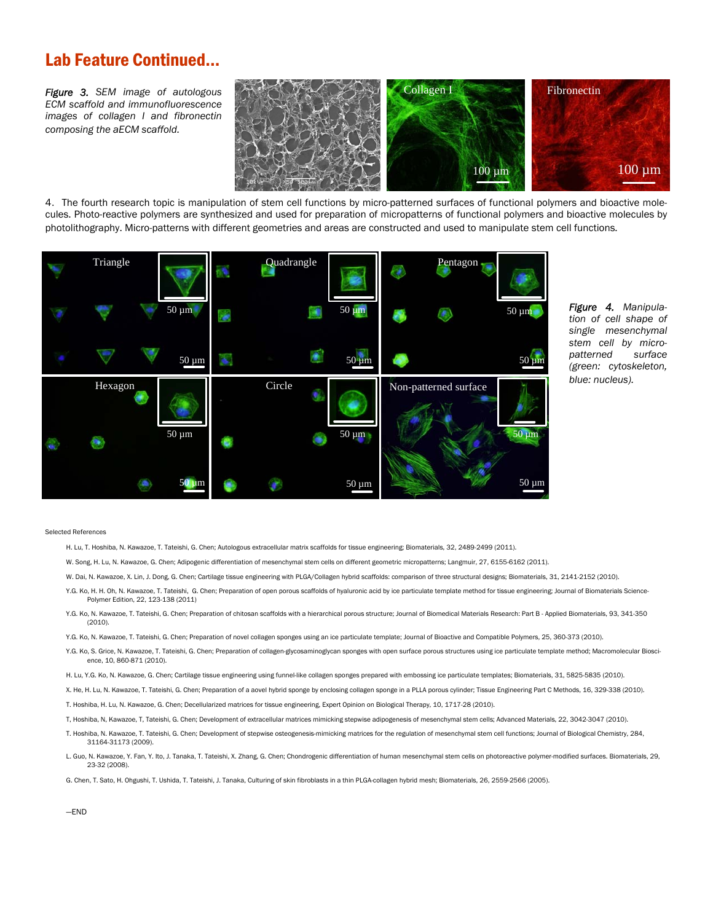# Lab Feature Continued...

*Figure 3. SEM image of autologous ECM scaffold and immunofluorescence images of collagen I and fibronectin composing the aECM scaffold.* 



4.The fourth research topic is manipulation of stem cell functions by micro-patterned surfaces of functional polymers and bioactive molecules. Photo-reactive polymers are synthesized and used for preparation of micropatterns of functional polymers and bioactive molecules by photolithography. Micro-patterns with different geometries and areas are constructed and used to manipulate stem cell functions.



*Figure 4. Manipulation of cell shape of single mesenchymal stem cell by micropatterned surface (green: cytoskeleton, blue: nucleus).* 

### Selected References

H. Lu, T. Hoshiba, N. Kawazoe, T. Tateishi, G. Chen; Autologous extracellular matrix scaffolds for tissue engineering; Biomaterials, 32, 2489-2499 (2011).

W. Song, H. Lu, N. Kawazoe, G. Chen; Adipogenic differentiation of mesenchymal stem cells on different geometric micropatterns; Langmuir, 27, 6155-6162 (2011).

W. Dai, N. Kawazoe, X. Lin, J. Dong, G. Chen; Cartilage tissue engineering with PLGA/Collagen hybrid scaffolds: comparison of three structural designs; Biomaterials, 31, 2141-2152 (2010).

- Y.G. Ko, H. H. Oh, N. Kawazoe, T. Tateishi, G. Chen; Preparation of open porous scaffolds of hyaluronic acid by ice particulate template method for tissue engineering; Journal of Biomaterials Science-Polymer Edition, 22, 123-138 (2011)
- Y.G. Ko, N. Kawazoe, T. Tateishi, G. Chen; Preparation of chitosan scaffolds with a hierarchical porous structure; Journal of Biomedical Materials Research: Part B Applied Biomaterials, 93, 341-350 (2010).
- Y.G. Ko, N. Kawazoe, T. Tateishi, G. Chen; Preparation of novel collagen sponges using an ice particulate template; Journal of Bioactive and Compatible Polymers, 25, 360-373 (2010).
- Y.G. Ko, S. Grice, N. Kawazoe, T. Tateishi, G. Chen; Preparation of collagen-glycosaminoglycan sponges with open surface porous structures using ice particulate template method; Macromolecular Bioscience, 10, 860-871 (2010).

H. Lu, Y.G. Ko, N. Kawazoe, G. Chen; Cartilage tissue engineering using funnel-like collagen sponges prepared with embossing ice particulate templates; Biomaterials, 31, 5825-5835 (2010).

X. He, H. Lu, N. Kawazoe, T. Tateishi, G. Chen; Preparation of a aovel hybrid sponge by enclosing collagen sponge in a PLLA porous cylinder; Tissue Engineering Part C Methods, 16, 329-338 (2010).

T. Hoshiba, H. Lu, N. Kawazoe, G. Chen; Decellularized matrices for tissue engineering, Expert Opinion on Biological Therapy, 10, 1717-28 (2010).

T, Hoshiba, N, Kawazoe, T, Tateishi, G. Chen; Development of extracellular matrices mimicking stepwise adipogenesis of mesenchymal stem cells; Advanced Materials, 22, 3042-3047 (2010).

T. Hoshiba, N. Kawazoe, T. Tateishi, G. Chen; Development of stepwise osteogenesis-mimicking matrices for the regulation of mesenchymal stem cell functions; Journal of Biological Chemistry, 284, 31164-31173 (2009).

L. Guo, N. Kawazoe, Y. Fan, Y. Ito, J. Tanaka, T. Tateishi, X. Zhang, G. Chen; Chondrogenic differentiation of human mesenchymal stem cells on photoreactive polymer-modified surfaces. Biomaterials, 29, 23-32 (2008).

G. Chen, T. Sato, H. Ohgushi, T. Ushida, T. Tateishi, J. Tanaka, Culturing of skin fibroblasts in a thin PLGA-collagen hybrid mesh; Biomaterials, 26, 2559-2566 (2005).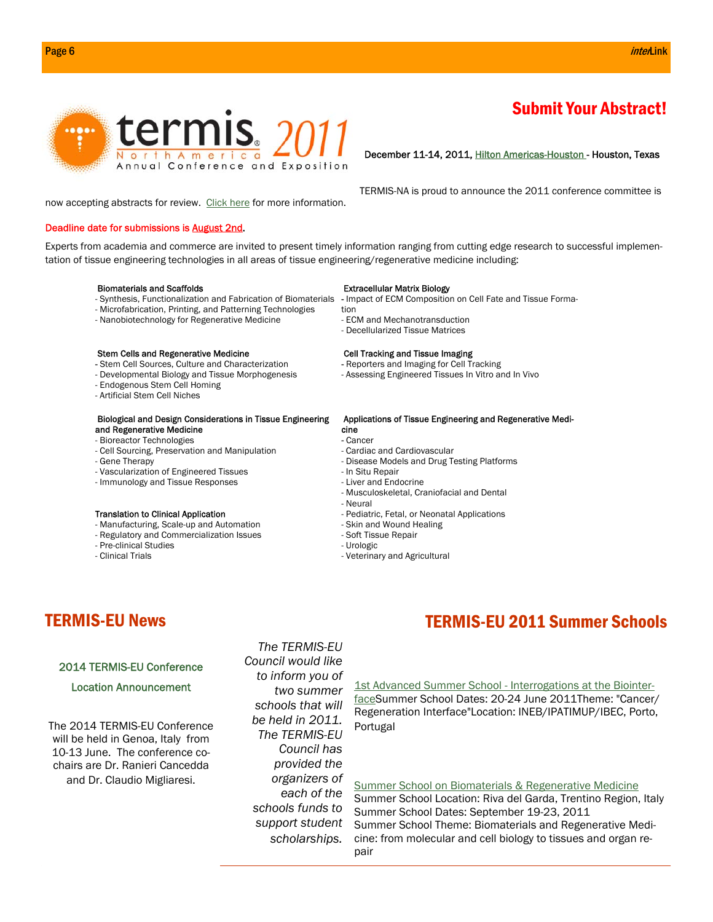

# Submit Your Abstract!

# December 11-14, 2011, Hilton Americas-Houston - Houston, Texas

TERMIS-NA is proud to announce the 2011 conference committee is

now accepting abstracts for review. Click here for more information.

# Deadline date for submissions is August 2nd.

Experts from academia and commerce are invited to present timely information ranging from cutting edge research to successful implementation of tissue engineering technologies in all areas of tissue engineering/regenerative medicine including:

### Biomaterials and Scaffolds

- Synthesis, Functionalization and Fabrication of Biomaterials
- Microfabrication, Printing, and Patterning Technologies
- Nanobiotechnology for Regenerative Medicine

### Stem Cells and Regenerative Medicine

- Stem Cell Sources, Culture and Characterization
- Developmental Biology and Tissue Morphogenesis
- Endogenous Stem Cell Homing
- Artificial Stem Cell Niches

# Biological and Design Considerations in Tissue Engineering and Regenerative Medicine

- Bioreactor Technologies
- Cell Sourcing, Preservation and Manipulation
- Gene Therapy
- Vascularization of Engineered Tissues
- Immunology and Tissue Responses

### Translation to Clinical Application

- Manufacturing, Scale-up and Automation
- Regulatory and Commercialization Issues
- Pre-clinical Studies
- Clinical Trials

# Extracellular Matrix Biology

- Impact of ECM Composition on Cell Fate and Tissue Forma-
- tion
- ECM and Mechanotransduction
- Decellularized Tissue Matrices

# Cell Tracking and Tissue Imaging

- Reporters and Imaging for Cell Tracking
- Assessing Engineered Tissues In Vitro and In Vivo

### Applications of Tissue Engineering and Regenerative Medi-

- cine
- Cancer
- Cardiac and Cardiovascular
- Disease Models and Drug Testing Platforms
- In Situ Repair
- Liver and Endocrine
- Musculoskeletal, Craniofacial and Dental
- Neural
- Pediatric, Fetal, or Neonatal Applications
- Skin and Wound Healing
- Soft Tissue Repair
- Urologic
- Veterinary and Agricultural

# TERMIS-EU News

# 2014 TERMIS-EU Conference

# Location Announcement

The 2014 TERMIS-EU Conference will be held in Genoa, Italy from 10-13 June. The conference cochairs are Dr. Ranieri Cancedda and Dr. Claudio Migliaresi.

*The TERMIS-EU Council would like to inform you of two summer schools that will be held in 2011. The TERMIS-EU Council has provided the organizers of each of the schools funds to support student scholarships.* 

# TERMIS-EU 2011 Summer Schools

1st Advanced Summer School - Interrogations at the BiointerfaceSummer School Dates: 20-24 June 2011Theme: "Cancer/ Regeneration Interface"Location: INEB/IPATIMUP/IBEC, Porto, Portugal

Summer School on Biomaterials & Regenerative Medicine

Summer School Location: Riva del Garda, Trentino Region, Italy Summer School Dates: September 19-23, 2011 Summer School Theme: Biomaterials and Regenerative Medicine: from molecular and cell biology to tissues and organ repair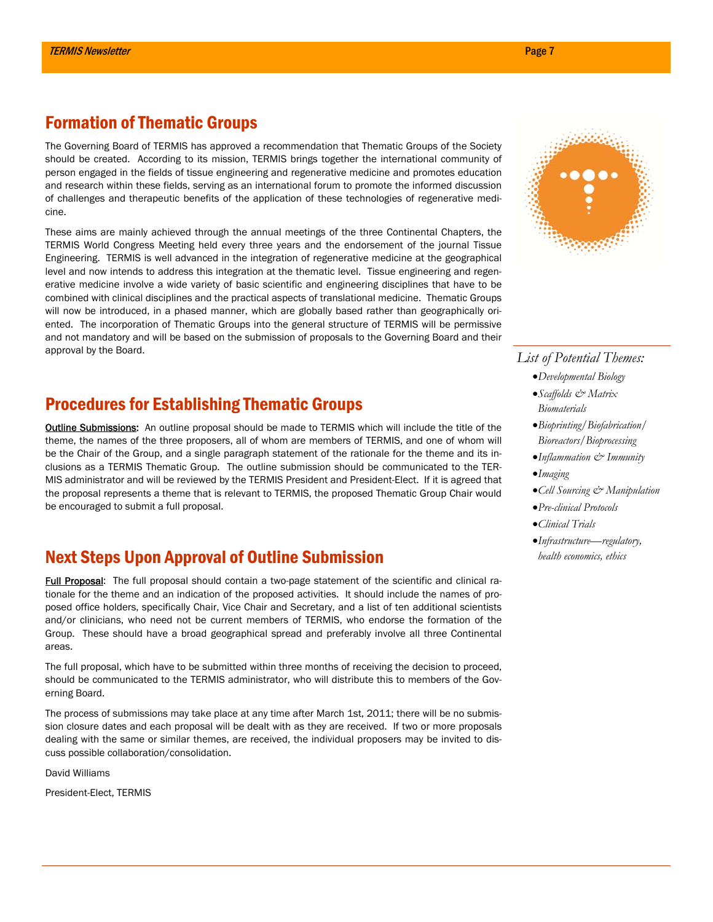# Formation of Thematic Groups

The Governing Board of TERMIS has approved a recommendation that Thematic Groups of the Society should be created. According to its mission, TERMIS brings together the international community of person engaged in the fields of tissue engineering and regenerative medicine and promotes education and research within these fields, serving as an international forum to promote the informed discussion of challenges and therapeutic benefits of the application of these technologies of regenerative medicine.

These aims are mainly achieved through the annual meetings of the three Continental Chapters, the TERMIS World Congress Meeting held every three years and the endorsement of the journal Tissue Engineering. TERMIS is well advanced in the integration of regenerative medicine at the geographical level and now intends to address this integration at the thematic level. Tissue engineering and regenerative medicine involve a wide variety of basic scientific and engineering disciplines that have to be combined with clinical disciplines and the practical aspects of translational medicine. Thematic Groups will now be introduced, in a phased manner, which are globally based rather than geographically oriented. The incorporation of Thematic Groups into the general structure of TERMIS will be permissive and not mandatory and will be based on the submission of proposals to the Governing Board and their approval by the Board.

# Procedures for Establishing Thematic Groups

Outline Submissions: An outline proposal should be made to TERMIS which will include the title of the theme, the names of the three proposers, all of whom are members of TERMIS, and one of whom will be the Chair of the Group, and a single paragraph statement of the rationale for the theme and its inclusions as a TERMIS Thematic Group. The outline submission should be communicated to the TER-MIS administrator and will be reviewed by the TERMIS President and President-Elect. If it is agreed that the proposal represents a theme that is relevant to TERMIS, the proposed Thematic Group Chair would be encouraged to submit a full proposal.

# Next Steps Upon Approval of Outline Submission

Full Proposal: The full proposal should contain a two-page statement of the scientific and clinical rationale for the theme and an indication of the proposed activities. It should include the names of proposed office holders, specifically Chair, Vice Chair and Secretary, and a list of ten additional scientists and/or clinicians, who need not be current members of TERMIS, who endorse the formation of the Group. These should have a broad geographical spread and preferably involve all three Continental areas.

The full proposal, which have to be submitted within three months of receiving the decision to proceed, should be communicated to the TERMIS administrator, who will distribute this to members of the Governing Board.

The process of submissions may take place at any time after March 1st, 2011; there will be no submission closure dates and each proposal will be dealt with as they are received. If two or more proposals dealing with the same or similar themes, are received, the individual proposers may be invited to discuss possible collaboration/consolidation.

David Williams

President-Elect, TERMIS



# *List of Potential Themes:*

- *Developmental Biology*
- *Scaffolds & Matrix Biomaterials*
- *Bioprinting/Biofabrication/ Bioreactors/Bioprocessing*
- *Inflammation & Immunity*
- *Imaging*
- *Cell Sourcing & Manipulation*
- *Pre-clinical Protocols*
- *Clinical Trials*
- *Infrastructure—regulatory, health economics, ethics*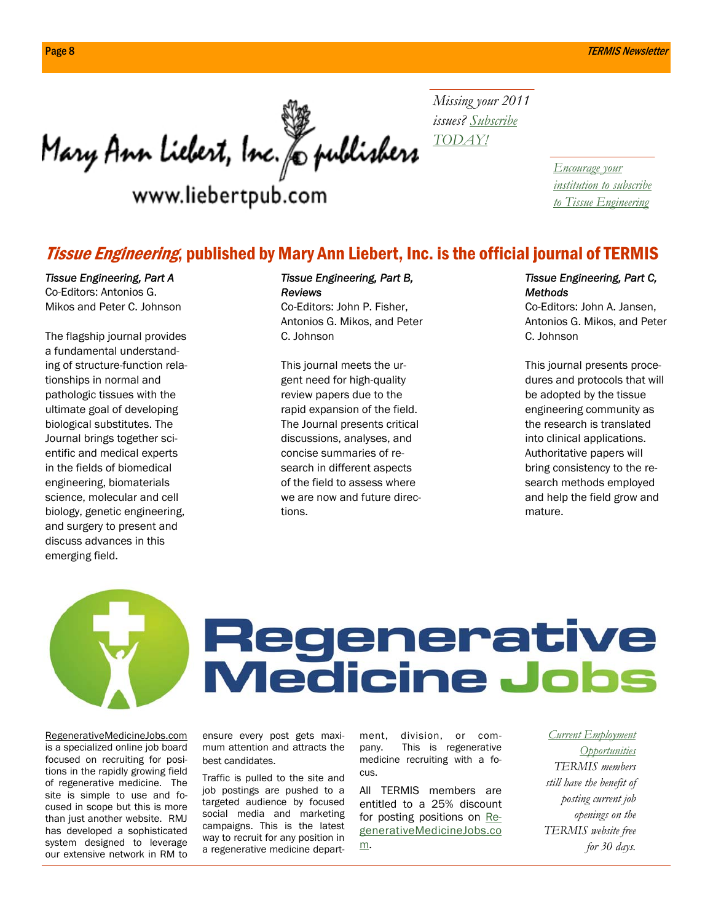Mary Ann Liebert, Inc. Jo publishers

www.liebertpub.com

*Missing your 2011 issues? Subscribe TODAY!*

> *Encourage your institution to subscribe to Tissue Engineering*

# **Tissue Engineering, published by Mary Ann Liebert, Inc. is the official journal of TERMIS**

# *Tissue Engineering, Part A*

Co-Editors: Antonios G. Mikos and Peter C. Johnson

The flagship journal provides a fundamental understanding of structure-function relationships in normal and pathologic tissues with the ultimate goal of developing biological substitutes. The Journal brings together scientific and medical experts in the fields of biomedical engineering, biomaterials science, molecular and cell biology, genetic engineering, and surgery to present and discuss advances in this emerging field.

# *Tissue Engineering, Part B, Reviews*

Co-Editors: John P. Fisher, Antonios G. Mikos, and Peter C. Johnson

This journal meets the urgent need for high-quality review papers due to the rapid expansion of the field. The Journal presents critical discussions, analyses, and concise summaries of research in different aspects of the field to assess where we are now and future directions.

# *Tissue Engineering, Part C, Methods*

Co-Editors: John A. Jansen, Antonios G. Mikos, and Peter C. Johnson

This journal presents procedures and protocols that will be adopted by the tissue engineering community as the research is translated into clinical applications. Authoritative papers will bring consistency to the research methods employed and help the field grow and mature.



# Regenerative<br>Medicine Jobs

RegenerativeMedicineJobs.com is a specialized online job board focused on recruiting for positions in the rapidly growing field of regenerative medicine. The site is simple to use and focused in scope but this is more than just another website. RMJ has developed a sophisticated system designed to leverage our extensive network in RM to ensure every post gets maximum attention and attracts the best candidates.

Traffic is pulled to the site and job postings are pushed to a targeted audience by focused social media and marketing campaigns. This is the latest way to recruit for any position in a regenerative medicine department, division, or company. This is regenerative medicine recruiting with a focus.

All TERMIS members are entitled to a 25% discount for posting positions on RegenerativeMedicineJobs.co m.

*Current Employment Opportunities TERMIS members still have the benefit of posting current job openings on the TERMIS website free for 30 days.*